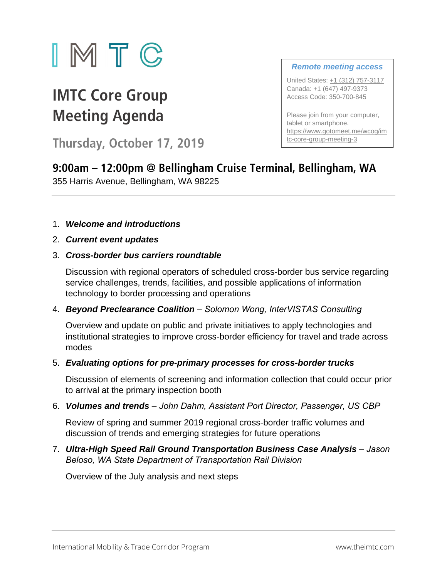

# **IMTC Core Group Meeting Agenda**

**Thursday, October 17, 2019**

### *Remote meeting access*

United States: +1 (312) 757-3117 Canada: +1 (647) 497-9373 Access Code: 350-700-845

Please join from your computer, tablet or smartphone. https://www.gotomeet.me/wcog/im tc-core-group-meeting-3

## **9:00am – 12:00pm @ Bellingham Cruise Terminal, Bellingham, WA**  355 Harris Avenue, Bellingham, WA 98225

## 1. *Welcome and introductions*

2. *Current event updates* 

## 3. *Cross-border bus carriers roundtable*

Discussion with regional operators of scheduled cross-border bus service regarding service challenges, trends, facilities, and possible applications of information technology to border processing and operations

4. *Beyond Preclearance Coalition – Solomon Wong, InterVISTAS Consulting*

Overview and update on public and private initiatives to apply technologies and institutional strategies to improve cross-border efficiency for travel and trade across modes

## 5. *Evaluating options for pre-primary processes for cross-border trucks*

Discussion of elements of screening and information collection that could occur prior to arrival at the primary inspection booth

6. *Volumes and trends* – *John Dahm, Assistant Port Director, Passenger, US CBP*

Review of spring and summer 2019 regional cross-border traffic volumes and discussion of trends and emerging strategies for future operations

7. Ultra-High Speed Rail Ground Transportation Business Case Analysis – Jason *Beloso, WA State Department of Transportation Rail Division*

Overview of the July analysis and next steps